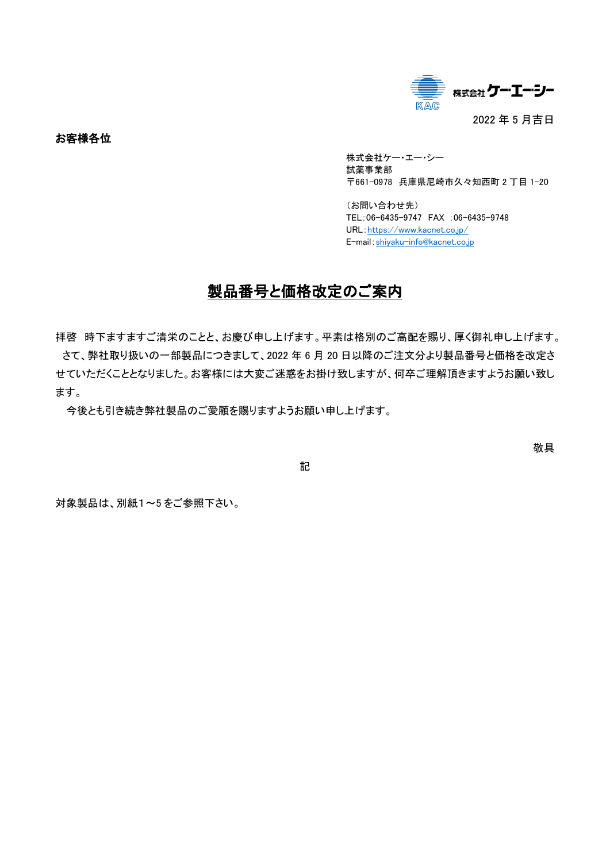

お客様各位

株式会社ケー・エー・シー 試薬事業部 〒661-0978 兵庫県尼崎市久々知西町 2 丁目 1-20

(お問い合わせ先) TEL:06-6435-9747 FAX :06-6435-9748 URL:<https://www.kacnet.co.jp/> E-mail:[shiyaku-info@kacnet.co.jp](mailto:shiyaku-info@kacnet.co.jp)

# 製品番号と価格改定のご案内

拝啓 時下ますますご清栄のことと、お慶び申し上げます。平素は格別のご高配を賜り、厚く御礼申し上げます。 さて、弊社取り扱いの一部製品につきまして、2022 年 6 月 20 日以降のご注文分より製品番号と価格を改定さ せていただくこととなりました。お客様には大変ご迷惑をお掛け致しますが、何卒ご理解頂きますようお願い致し ます。

今後とも引き続き弊社製品のご愛顧を賜りますようお願い申し上げます。

敬具

記

対象製品は、別紙1~5 をご参照下さい。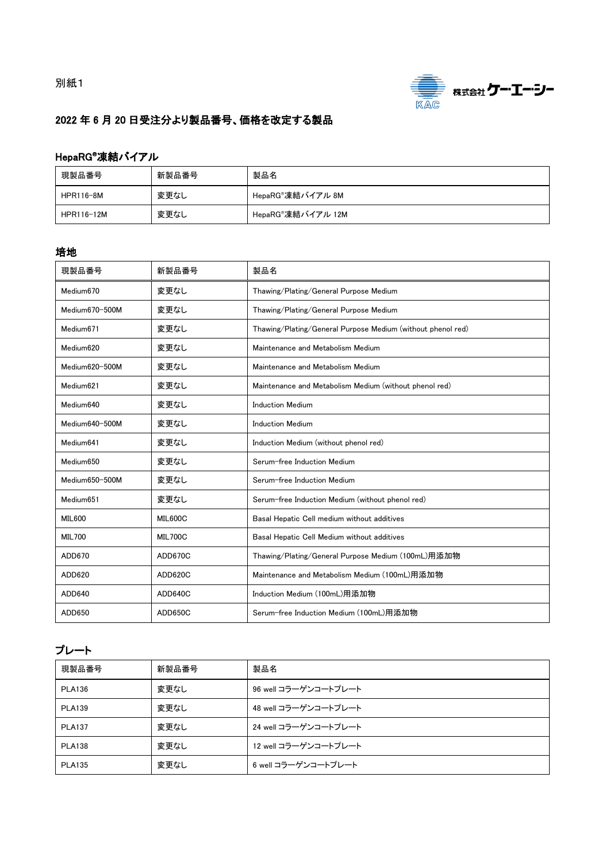

## 2022 年 6 月 20 日受注分より製品番号、価格を改定する製品

### HepaRG®凍結バイアル

| 現製品番号      | 新製品番号 | 製品名                            |
|------------|-------|--------------------------------|
| HPR116-8M  | 変更なし  | HepaRG®凍結バイアル 8M               |
| HPR116-12M | 変更なし  | HepaRG <sup>®</sup> 凍結バイアル 12M |

#### 培地

| 現製品番号                 | 新製品番号          | 製品名                                                         |
|-----------------------|----------------|-------------------------------------------------------------|
| Medium670             | 変更なし           | Thawing/Plating/General Purpose Medium                      |
| Medium670-500M        | 変更なし           | Thawing/Plating/General Purpose Medium                      |
| Medium <sub>671</sub> | 変更なし           | Thawing/Plating/General Purpose Medium (without phenol red) |
| Medium620             | 変更なし           | Maintenance and Metabolism Medium                           |
| Medium620-500M        | 変更なし           | Maintenance and Metabolism Medium                           |
| Medium <sub>621</sub> | 変更なし           | Maintenance and Metabolism Medium (without phenol red)      |
| Medium640             | 変更なし           | <b>Induction Medium</b>                                     |
| Medium640-500M        | 変更なし           | <b>Induction Medium</b>                                     |
| Medium <sub>641</sub> | 変更なし           | Induction Medium (without phenol red)                       |
| Medium650             | 変更なし           | Serum-free Induction Medium                                 |
| Medium650-500M        | 変更なし           | Serum-free Induction Medium                                 |
| Medium651             | 変更なし           | Serum-free Induction Medium (without phenol red)            |
| <b>MIL600</b>         | MIL600C        | Basal Hepatic Cell medium without additives                 |
| <b>MIL700</b>         | <b>MIL700C</b> | Basal Hepatic Cell Medium without additives                 |
| ADD670                | ADD670C        | Thawing/Plating/General Purpose Medium (100mL)用添加物          |
| ADD620                | ADD620C        | Maintenance and Metabolism Medium (100mL)用添加物               |
| ADD640                | ADD640C        | Induction Medium (100mL)用添加物                                |
| ADD650                | ADD650C        | Serum-free Induction Medium (100mL)用添加物                     |

## プレート

| 現製品番号         | 新製品番号 | 製品名                  |
|---------------|-------|----------------------|
| <b>PLA136</b> | 変更なし  | 96 well コラーゲンコートプレート |
| <b>PLA139</b> | 変更なし  | 48 well コラーゲンコートプレート |
| <b>PLA137</b> | 変更なし  | 24 well コラーゲンコートプレート |
| <b>PLA138</b> | 変更なし  | 12 well コラーゲンコートプレート |
| <b>PLA135</b> | 変更なし  | 6 well コラーゲンコートプレート  |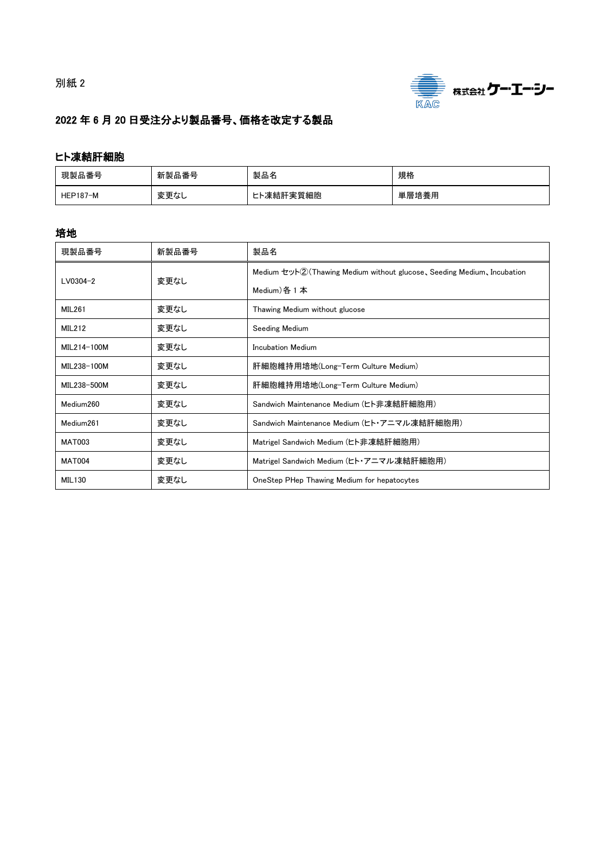



## 2022 年 6 月 20 日受注分より製品番号、価格を改定する製品

#### ヒト凍結肝細胞

| 現製品番号           | 新製品番号 | 製品名       | 規格    |
|-----------------|-------|-----------|-------|
| <b>HEP187-M</b> | 変更なし  | ヒト凍結肝実質細胞 | 単層培養用 |

#### 培地

| 現製品番号         | 新製品番号 | 製品名                                                                    |
|---------------|-------|------------------------------------------------------------------------|
|               | 変更なし  | Medium セット②(Thawing Medium without glucose, Seeding Medium, Incubation |
| $LVO304-2$    |       | Medium) 各 1 本                                                          |
| <b>MIL261</b> | 変更なし  | Thawing Medium without glucose                                         |
| <b>MIL212</b> | 変更なし  | Seeding Medium                                                         |
| MIL214-100M   | 変更なし  | Incubation Medium                                                      |
| MIL238-100M   | 変更なし  | 肝細胞維持用培地(Long-Term Culture Medium)                                     |
| MIL238-500M   | 変更なし  | 肝細胞維持用培地(Long-Term Culture Medium)                                     |
| Medium260     | 変更なし  | Sandwich Maintenance Medium (ヒト非凍結肝細胞用)                                |
| Medium261     | 変更なし  | Sandwich Maintenance Medium (ヒト・アニマル凍結肝細胞用)                            |
| <b>MAT003</b> | 変更なし  | Matrigel Sandwich Medium (ヒト非凍結肝細胞用)                                   |
| <b>MAT004</b> | 変更なし  | Matrigel Sandwich Medium (ヒト・アニマル凍結肝細胞用)                               |
| MIL130        | 変更なし  | OneStep PHep Thawing Medium for hepatocytes                            |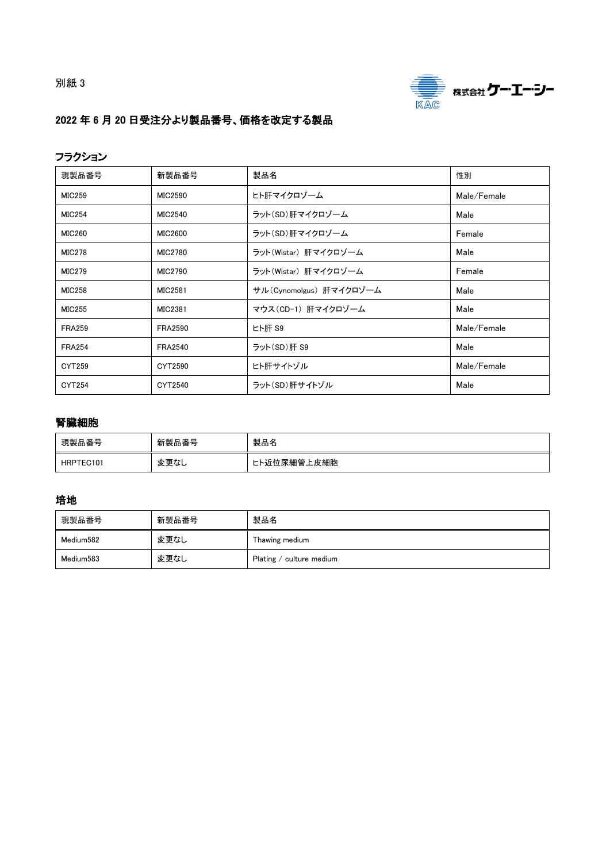別紙 3



## 2022 年 6 月 20 日受注分より製品番号、価格を改定する製品

#### フラクション

| 現製品番号         | 新製品番号          | 製品名                     | 性別          |
|---------------|----------------|-------------------------|-------------|
| <b>MIC259</b> | MIC2590        | ヒト肝マイクロゾーム              | Male/Female |
| <b>MIC254</b> | MIC2540        | ラット(SD)肝マイクロゾーム         | Male        |
| <b>MIC260</b> | MIC2600        | ラット(SD)肝マイクロゾーム         | Female      |
| <b>MIC278</b> | MIC2780        | ラット(Wistar) 肝マイクロゾーム    | Male        |
| <b>MIC279</b> | MIC2790        | ラット(Wistar) 肝マイクロゾーム    | Female      |
| <b>MIC258</b> | MIC2581        | サル(Cynomolgus) 肝マイクロゾーム | Male        |
| <b>MIC255</b> | MIC2381        | マウス(CD-1) 肝マイクロゾーム      | Male        |
| <b>FRA259</b> | <b>FRA2590</b> | ヒト肝 S9                  | Male/Female |
| <b>FRA254</b> | <b>FRA2540</b> | ラット(SD)肝 S9             | Male        |
| CYT259        | CYT2590        | ヒト肝サイトゾル                | Male/Female |
| CYT254        | CYT2540        | ラット(SD)肝サイトゾル           | Male        |

#### 腎臓細胞

| 現製品番号     | 新製品番号 | 製品名         |
|-----------|-------|-------------|
| HRPTEC101 | 変更なし  | ヒト近位尿細管上皮細胞 |

#### 培地

| 現製品番号     | 新製品番号 | 製品名                             |
|-----------|-------|---------------------------------|
| Medium582 | 変更なし  | Thawing medium                  |
| Medium583 | 変更なし  | Plating $\angle$ culture medium |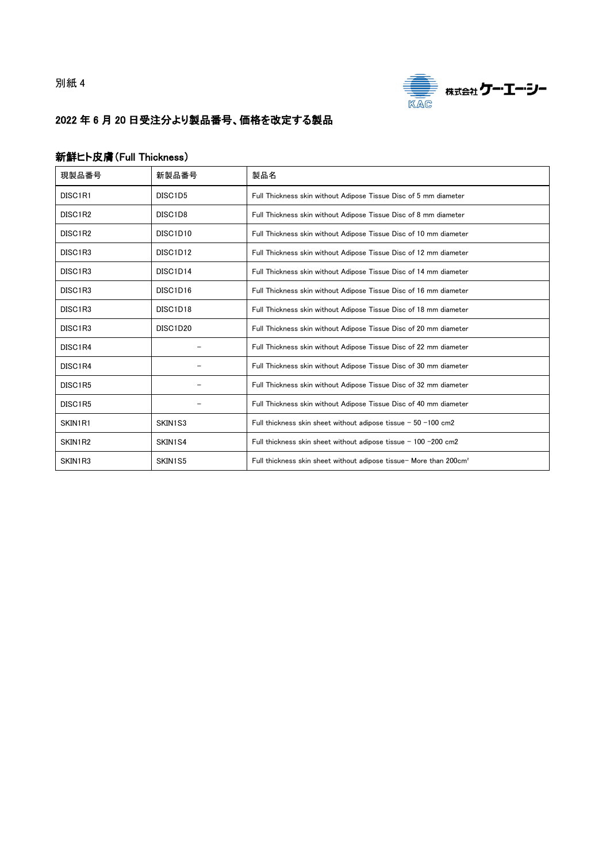別紙 4



## 2022 年 6 月 20 日受注分より製品番号、価格を改定する製品

#### 新鮮ヒト皮膚(Full Thickness)

| 現製品番号               | 新製品番号                             | 製品名                                                                            |
|---------------------|-----------------------------------|--------------------------------------------------------------------------------|
| DISC1R1             | DISC1D5                           | Full Thickness skin without Adipose Tissue Disc of 5 mm diameter               |
| DISC1R2             | DISC <sub>1</sub> D <sub>8</sub>  | Full Thickness skin without Adipose Tissue Disc of 8 mm diameter               |
| DISC1R2             | DISC1D10                          | Full Thickness skin without Adipose Tissue Disc of 10 mm diameter              |
| DISC1R3             | DISC1D12                          | Full Thickness skin without Adipose Tissue Disc of 12 mm diameter              |
| DISC1R3             | DISC1D14                          | Full Thickness skin without Adipose Tissue Disc of 14 mm diameter              |
| DISC1R3             | DISC1D16                          | Full Thickness skin without Adipose Tissue Disc of 16 mm diameter              |
| DISC <sub>1R3</sub> | DISC <sub>1</sub> D <sub>18</sub> | Full Thickness skin without Adipose Tissue Disc of 18 mm diameter              |
| DISC1R3             | DISC1D20                          | Full Thickness skin without Adipose Tissue Disc of 20 mm diameter              |
| DISC1R4             |                                   | Full Thickness skin without Adipose Tissue Disc of 22 mm diameter              |
| DISC1R4             |                                   | Full Thickness skin without Adipose Tissue Disc of 30 mm diameter              |
| DISC1R5             |                                   | Full Thickness skin without Adipose Tissue Disc of 32 mm diameter              |
| DISC1R5             |                                   | Full Thickness skin without Adipose Tissue Disc of 40 mm diameter              |
| SKIN1R1             | SKIN1S3                           | Full thickness skin sheet without adipose tissue $-50 - 100$ cm2               |
| SKIN1R2             | SKIN1S4                           | Full thickness skin sheet without adipose tissue $-100 - 200$ cm2              |
| SKIN1R3             | SKIN1S5                           | Full thickness skin sheet without adipose tissue- More than 200cm <sup>2</sup> |